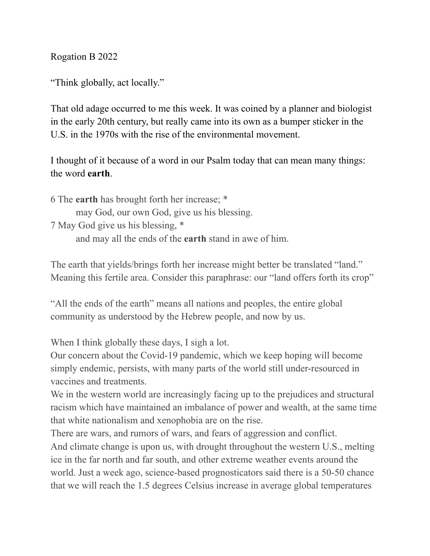Rogation B 2022

"Think globally, act locally."

That old adage occurred to me this week. It was coined by a planner and biologist in the early 20th century, but really came into its own as a bumper sticker in the U.S. in the 1970s with the rise of the environmental movement.

I thought of it because of a word in our Psalm today that can mean many things: the word **earth**.

6 The **earth** has brought forth her increase; \* may God, our own God, give us his blessing. 7 May God give us his blessing, \* and may all the ends of the **earth** stand in awe of him.

The earth that yields/brings forth her increase might better be translated "land." Meaning this fertile area. Consider this paraphrase: our "land offers forth its crop"

"All the ends of the earth" means all nations and peoples, the entire global community as understood by the Hebrew people, and now by us.

When I think globally these days, I sigh a lot.

Our concern about the Covid-19 pandemic, which we keep hoping will become simply endemic, persists, with many parts of the world still under-resourced in vaccines and treatments.

We in the western world are increasingly facing up to the prejudices and structural racism which have maintained an imbalance of power and wealth, at the same time that white nationalism and xenophobia are on the rise.

There are wars, and rumors of wars, and fears of aggression and conflict. And climate change is upon us, with drought throughout the western U.S., melting ice in the far north and far south, and other extreme weather events around the world. Just a week ago, science-based prognosticators said there is a 50-50 chance that we will reach the 1.5 degrees Celsius increase in average global temperatures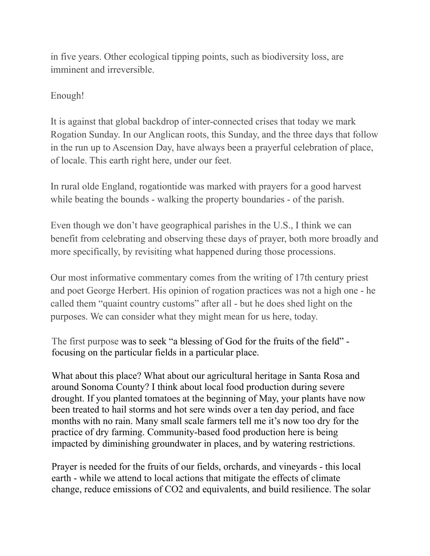in five years. Other ecological tipping points, such as biodiversity loss, are imminent and irreversible.

## Enough!

It is against that global backdrop of inter-connected crises that today we mark Rogation Sunday. In our Anglican roots, this Sunday, and the three days that follow in the run up to Ascension Day, have always been a prayerful celebration of place, of locale. This earth right here, under our feet.

In rural olde England, rogationtide was marked with prayers for a good harvest while beating the bounds - walking the property boundaries - of the parish.

Even though we don't have geographical parishes in the U.S., I think we can benefit from celebrating and observing these days of prayer, both more broadly and more specifically, by revisiting what happened during those processions.

Our most informative commentary comes from the writing of 17th century priest and poet George Herbert. His opinion of rogation practices was not a high one - he called them "quaint country customs" after all - but he does shed light on the purposes. We can consider what they might mean for us here, today.

The first purpose was to seek "a blessing of God for the fruits of the field" focusing on the particular fields in a particular place.

What about this place? What about our agricultural heritage in Santa Rosa and around Sonoma County? I think about local food production during severe drought. If you planted tomatoes at the beginning of May, your plants have now been treated to hail storms and hot sere winds over a ten day period, and face months with no rain. Many small scale farmers tell me it's now too dry for the practice of dry farming. Community-based food production here is being impacted by diminishing groundwater in places, and by watering restrictions.

Prayer is needed for the fruits of our fields, orchards, and vineyards - this local earth - while we attend to local actions that mitigate the effects of climate change, reduce emissions of CO2 and equivalents, and build resilience. The solar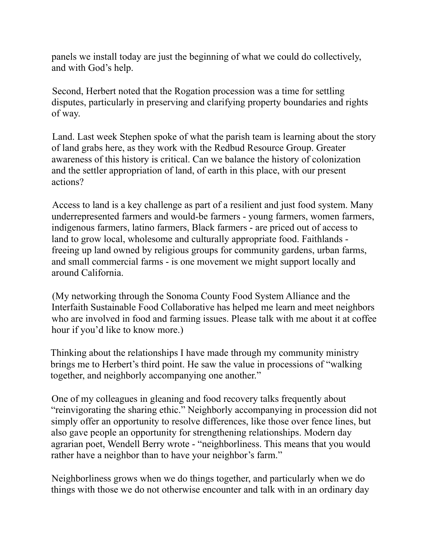panels we install today are just the beginning of what we could do collectively, and with God's help.

Second, Herbert noted that the Rogation procession was a time for settling disputes, particularly in preserving and clarifying property boundaries and rights of way.

Land. Last week Stephen spoke of what the parish team is learning about the story of land grabs here, as they work with the Redbud Resource Group. Greater awareness of this history is critical. Can we balance the history of colonization and the settler appropriation of land, of earth in this place, with our present actions?

Access to land is a key challenge as part of a resilient and just food system. Many underrepresented farmers and would-be farmers - young farmers, women farmers, indigenous farmers, latino farmers, Black farmers - are priced out of access to land to grow local, wholesome and culturally appropriate food. Faithlands freeing up land owned by religious groups for community gardens, urban farms, and small commercial farms - is one movement we might support locally and around California.

(My networking through the Sonoma County Food System Alliance and the Interfaith Sustainable Food Collaborative has helped me learn and meet neighbors who are involved in food and farming issues. Please talk with me about it at coffee hour if you'd like to know more.)

Thinking about the relationships I have made through my community ministry brings me to Herbert's third point. He saw the value in processions of "walking together, and neighborly accompanying one another."

One of my colleagues in gleaning and food recovery talks frequently about "reinvigorating the sharing ethic." Neighborly accompanying in procession did not simply offer an opportunity to resolve differences, like those over fence lines, but also gave people an opportunity for strengthening relationships. Modern day agrarian poet, Wendell Berry wrote - "neighborliness. This means that you would rather have a neighbor than to have your neighbor's farm."

Neighborliness grows when we do things together, and particularly when we do things with those we do not otherwise encounter and talk with in an ordinary day